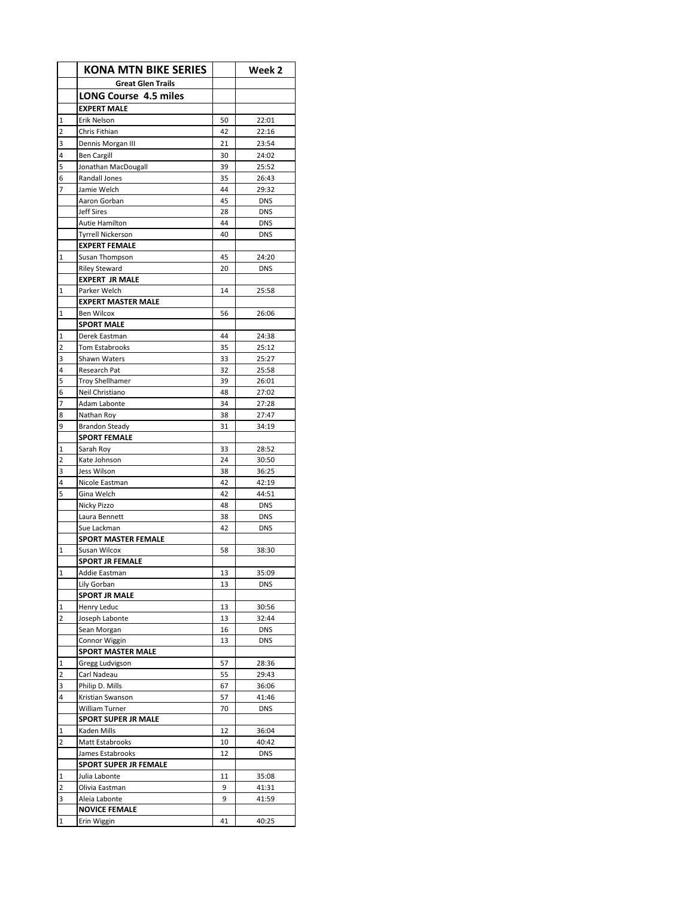|                         | <b>KONA MTN BIKE SERIES</b>   |          | Week 2         |
|-------------------------|-------------------------------|----------|----------------|
|                         | <b>Great Glen Trails</b>      |          |                |
|                         | <b>LONG Course 4.5 miles</b>  |          |                |
|                         | <b>EXPERT MALE</b>            |          |                |
| $\mathbf 1$             | Erik Nelson                   | 50       | 22:01          |
| $\overline{2}$          | Chris Fithian                 | 42       | 22:16          |
| 3                       | Dennis Morgan III             | 21       | 23:54          |
| 4                       | Ben Cargill                   | 30       | 24:02          |
| 5                       | Jonathan MacDougall           | 39       | 25:52          |
| 6                       | Randall Jones                 | 35       | 26:43          |
| 7                       | Jamie Welch                   | 44       | 29:32          |
|                         | Aaron Gorban                  | 45       | <b>DNS</b>     |
|                         | <b>Jeff Sires</b>             | 28       | <b>DNS</b>     |
|                         | Autie Hamilton                | 44       | <b>DNS</b>     |
|                         | <b>Tyrrell Nickerson</b>      | 40       | <b>DNS</b>     |
|                         | <b>EXPERT FEMALE</b>          |          |                |
| $\mathbf 1$             | Susan Thompson                | 45       | 24:20          |
|                         | <b>Riley Steward</b>          | 20       | <b>DNS</b>     |
|                         | <b>EXPERT JR MALE</b>         |          |                |
| $\mathbf{1}$            | Parker Welch                  | 14       | 25:58          |
|                         | <b>EXPERT MASTER MALE</b>     |          |                |
| $\mathbf 1$             | <b>Ben Wilcox</b>             | 56       | 26:06          |
|                         | <b>SPORT MALE</b>             |          |                |
| 1                       | Derek Eastman                 | 44       | 24:38          |
| 2                       | Tom Estabrooks                | 35       | 25:12          |
| 3                       | Shawn Waters                  | 33       | 25:27          |
| 4                       | Research Pat                  | 32       | 25:58          |
| 5                       | <b>Troy Shellhamer</b>        | 39       | 26:01          |
| 6                       | Neil Christiano               | 48       | 27:02          |
| 7                       | Adam Labonte                  | 34       | 27:28          |
| 8                       | Nathan Roy                    | 38       | 27:47          |
| 9                       | <b>Brandon Steady</b>         | 31       | 34:19          |
|                         | <b>SPORT FEMALE</b>           |          |                |
| $\mathbf{1}$            | Sarah Roy                     | 33       | 28:52          |
| $\overline{2}$<br>3     | Kate Johnson                  | 24       | 30:50          |
| 4                       | Jess Wilson<br>Nicole Eastman | 38<br>42 | 36:25<br>42:19 |
| 5                       | Gina Welch                    | 42       | 44:51          |
|                         | Nicky Pizzo                   | 48       | <b>DNS</b>     |
|                         | Laura Bennett                 | 38       | <b>DNS</b>     |
|                         | Sue Lackman                   | 42       | <b>DNS</b>     |
|                         | <b>SPORT MASTER FEMALE</b>    |          |                |
| $\mathbf{1}$            | Susan Wilcox                  | 58       | 38:30          |
|                         | <b>SPORT JR FEMALE</b>        |          |                |
| 1                       | Addie Eastman                 | 13       | 35:09          |
|                         | Lily Gorban                   | 13       | <b>DNS</b>     |
|                         | <b>SPORT JR MALE</b>          |          |                |
| $\overline{1}$          | Henry Leduc                   | 13       | 30:56          |
| $\overline{2}$          | Joseph Labonte                | 13       | 32:44          |
|                         | Sean Morgan                   | 16       | <b>DNS</b>     |
|                         | Connor Wiggin                 | 13       | <b>DNS</b>     |
|                         | <b>SPORT MASTER MALE</b>      |          |                |
| $\mathbf{1}$            | Gregg Ludvigson               | 57       | 28:36          |
| $\overline{2}$          | Carl Nadeau                   | 55       | 29:43          |
| 3                       | Philip D. Mills               | 67       | 36:06          |
| 4                       | Kristian Swanson              | 57       | 41:46          |
|                         | William Turner                | 70       | <b>DNS</b>     |
|                         | <b>SPORT SUPER JR MALE</b>    |          |                |
| $\mathbf 1$             | Kaden Mills                   | 12       | 36:04          |
| $\overline{\mathbf{c}}$ | Matt Estabrooks               | 10       | 40:42          |
|                         | James Estabrooks              | 12       | <b>DNS</b>     |
|                         | <b>SPORT SUPER JR FEMALE</b>  |          |                |
| $\frac{1}{2}$           | Julia Labonte                 | 11       | 35:08          |
| 2                       | Olivia Eastman                | 9        | 41:31          |
| 3                       | Aleia Labonte                 | 9        | 41:59          |
|                         | <b>NOVICE FEMALE</b>          |          |                |
| $\mathbf 1$             | Erin Wiggin                   | 41       | 40:25          |